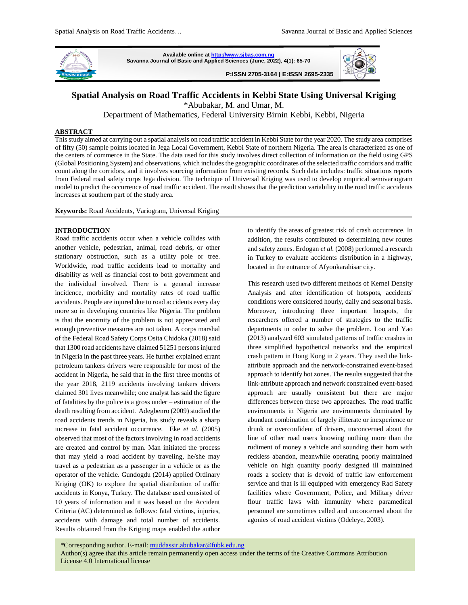

**Available online a[t http://www.sjbas.com.ng](http://www.sjbas.com.ng/) Savanna Journal of Basic and Applied Sciences (June, 2022), 4(1): 65-70 P:ISSN 2705-3164 | E:ISSN 2695-2335** 



# **Spatial Analysis on Road Traffic Accidents in Kebbi State Using Universal Kriging**

\*Abubakar, M. and Umar, M.

Department of Mathematics, Federal University Birnin Kebbi, Kebbi, Nigeria

#### **ABSTRACT**

This study aimed at carrying out a spatial analysis on road traffic accident in Kebbi State for the year 2020. The study area comprises of fifty (50) sample points located in Jega Local Government, Kebbi State of northern Nigeria. The area is characterized as one of the centers of commerce in the State. The data used for this study involves direct collection of information on the field using GPS (Global Positioning System) and observations, which includes the geographic coordinates of the selected traffic corridors and traffic count along the corridors, and it involves sourcing information from existing records. Such data includes: traffic situations reports from Federal road safety corps Jega division. The technique of Universal Kriging was used to develop empirical semivariogram model to predict the occurrence of road traffic accident. The result shows that the prediction variability in the road traffic accidents increases at southern part of the study area.

**Keywords:** Road Accidents, Variogram, Universal Kriging

#### **INTRODUCTION**

Road traffic accidents occur when a vehicle collides with another vehicle, pedestrian, animal, road debris, or other stationary obstruction, such as a utility pole or tree. Worldwide, road traffic accidents lead to mortality and disability as well as financial cost to both government and the individual involved. There is a general increase incidence, morbidity and mortality rates of road traffic accidents. People are injured due to road accidents every day more so in developing countries like Nigeria. The problem is that the enormity of the problem is not appreciated and enough preventive measures are not taken. A corps marshal of the Federal Road Safety Corps Osita Chidoka (2018) said that 1300 road accidents have claimed 51251 persons injured in Nigeria in the past three years. He further explained errant petroleum tankers drivers were responsible for most of the accident in Nigeria, he said that in the first three months of the year 2018, 2119 accidents involving tankers drivers claimed 301 lives meanwhile; one analyst has said the figure of fatalities by the police is a gross under – estimation of the death resulting from accident. Adegbenro (2009) studied the road accidents trends in Nigeria, his study reveals a sharp increase in fatal accident occurrence. Eke *et al*. (2005) observed that most of the factors involving in road accidents are created and control by man. Man initiated the process that may yield a road accident by traveling, he/she may travel as a pedestrian as a passenger in a vehicle or as the operator of the vehicle. Gundogdu (2014) applied Ordinary Kriging (OK) to explore the spatial distribution of traffic accidents in Konya, Turkey. The database used consisted of 10 years of information and it was based on the Accident Criteria (AC) determined as follows: fatal victims, injuries, accidents with damage and total number of accidents. Results obtained from the Kriging maps enabled the author to identify the areas of greatest risk of crash occurrence. In addition, the results contributed to determining new routes and safety zones. Erdogan *et al.* (2008) performed a research in Turkey to evaluate accidents distribution in a highway, located in the entrance of Afyonkarahisar city.

This research used two different methods of Kernel Density Analysis and after identification of hotspots, accidents' conditions were considered hourly, daily and seasonal basis. Moreover, introducing three important hotspots, the researchers offered a number of strategies to the traffic departments in order to solve the problem. Loo and Yao (2013) analyzed 603 simulated patterns of traffic crashes in three simplified hypothetical networks and the empirical crash pattern in Hong Kong in 2 years. They used the linkattribute approach and the network-constrained event-based approach to identify hot zones. The results suggested that the link-attribute approach and network constrained event-based approach are usually consistent but there are major differences between these two approaches. The road traffic environments in Nigeria are environments dominated by abundant combination of largely illiterate or inexperience or drunk or overconfident of drivers, unconcerned about the line of other road users knowing nothing more than the rudiment of money a vehicle and sounding their horn with reckless abandon, meanwhile operating poorly maintained vehicle on high quantity poorly designed ill maintained roads a society that is devoid of traffic law enforcement service and that is ill equipped with emergency Rad Safety facilities where Government, Police, and Military driver flour traffic laws with immunity where paramedical personnel are sometimes called and unconcerned about the agonies of road accident victims (Odeleye, 2003).

65 License 4.0 International license \*Corresponding author. E-mail[: muddassir.abubakar@fubk.edu.ng](mailto:muddassir.abubakar@fubk.edu.ng) Author(s) agree that this article remain permanently open access under the terms of the Creative Commons Attribution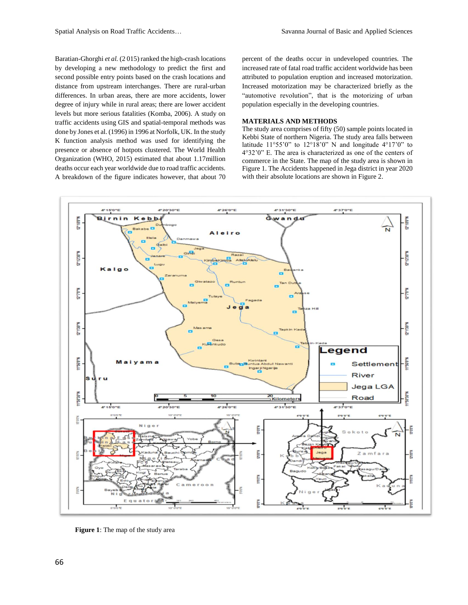Baratian-Ghorghi *et al.* (2 015) ranked the high-crash locations by developing a new methodology to predict the first and second possible entry points based on the crash locations and distance from upstream interchanges. There are rural-urban differences. In urban areas, there are more accidents, lower degree of injury while in rural areas; there are lower accident levels but more serious fatalities (Komba, 2006). A study on traffic accidents using GIS and spatial-temporal methods was done by Jones et al. (1996) in 1996 at Norfolk, UK. In the study K function analysis method was used for identifying the presence or absence of hotpots clustered. The World Health Organization (WHO, 2015) estimated that about 1.17million deaths occur each year worldwide due to road traffic accidents. A breakdown of the figure indicates however, that about 70

percent of the deaths occur in undeveloped countries. The increased rate of fatal road traffic accident worldwide has been attributed to population eruption and increased motorization. Increased motorization may be characterized briefly as the "automotive revolution", that is the motorizing of urban population especially in the developing countries.

## **MATERIALS AND METHODS**

The study area comprises of fifty (50) sample points located in Kebbi State of northern Nigeria. The study area falls between latitude  $11^{\circ}55'0''$  to  $12^{\circ}18'0''$  N and longitude  $4^{\circ}17'0''$  to 4°32'0" E. The area is characterized as one of the centers of commerce in the State. The map of the study area is shown in Figure 1. The Accidents happened in Jega district in year 2020 with their absolute locations are shown in Figure 2.



**Figure 1**: The map of the study area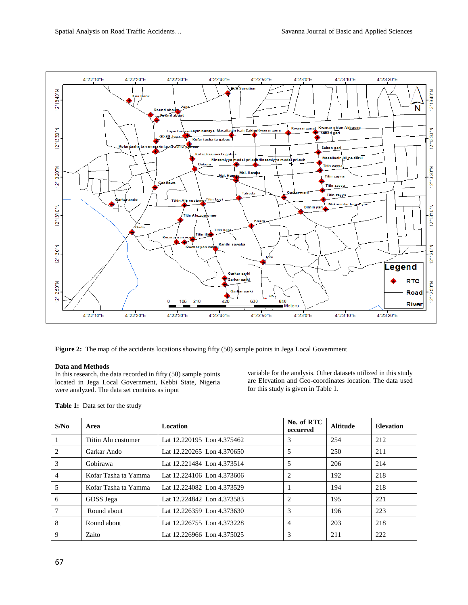

**Figure 2:** The map of the accidents locations showing fifty (50) sample points in Jega Local Government

## **Data and Methods**

In this research, the data recorded in fifty (50) sample points located in Jega Local Government, Kebbi State, Nigeria were analyzed. The data set contains as input

variable for the analysis. Other datasets utilized in this study are Elevation and Geo-coordinates location. The data used for this study is given in Table 1.

| S/N <sub>0</sub> | Area                 | Location                   | No. of RTC<br>occurred | <b>Altitude</b> | <b>Elevation</b> |
|------------------|----------------------|----------------------------|------------------------|-----------------|------------------|
|                  | Ttitin Alu customer  | Lat 12.220195 Lon 4.375462 | 3                      | 254             | 212              |
| 2                | Garkar Ando          | Lat 12.220265 Lon 4.370650 | 5                      | 250             | 211              |
| 3                | Gobirawa             | Lat 12.221484 Lon 4.373514 | 5                      | 206             | 214              |
| 4                | Kofar Tasha ta Yamma | Lat 12.224106 Lon 4.373606 |                        | 192             | 218              |
| 5                | Kofar Tasha ta Yamma | Lat 12.224082 Lon 4.373529 |                        | 194             | 218              |
| 6                | GDSS Jega            | Lat 12.224842 Lon 4.373583 |                        | 195             | 221              |
| 7                | Round about          | Lat 12.226359 Lon 4.373630 | 3                      | 196             | 223              |
| 8                | Round about          | Lat 12.226755 Lon 4.373228 | 4                      | 203             | 218              |
| 9                | Zaito                | Lat 12.226966 Lon 4.375025 | 3                      | 211             | 222              |

**Table 1:** Data set for the study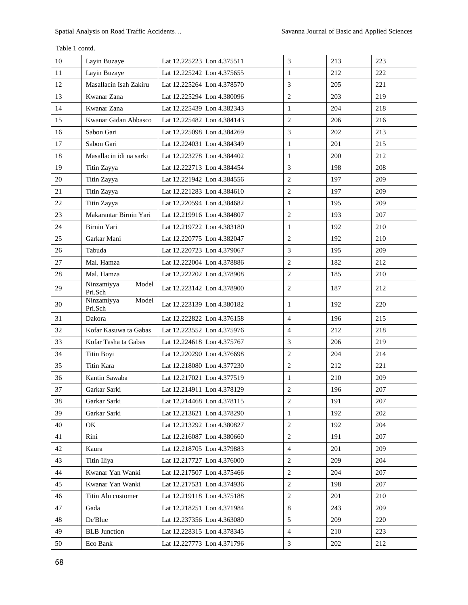| 10 | Layin Buzaye                   | Lat 12.225223 Lon 4.375511 | 3              | 213 | 223 |
|----|--------------------------------|----------------------------|----------------|-----|-----|
| 11 | Layin Buzaye                   | Lat 12.225242 Lon 4.375655 | $\mathbf{1}$   | 212 | 222 |
| 12 | Masallacin Isah Zakiru         | Lat 12.225264 Lon 4.378570 | 3              | 205 | 221 |
| 13 | Kwanar Zana                    | Lat 12.225294 Lon 4.380096 | $\overline{2}$ | 203 | 219 |
| 14 | Kwanar Zana                    | Lat 12.225439 Lon 4.382343 | 1              | 204 | 218 |
| 15 | Kwanar Gidan Abbasco           | Lat 12.225482 Lon 4.384143 | 2              | 206 | 216 |
| 16 | Sabon Gari                     | Lat 12.225098 Lon 4.384269 | 3              | 202 | 213 |
| 17 | Sabon Gari                     | Lat 12.224031 Lon 4.384349 | $\mathbf{1}$   | 201 | 215 |
| 18 | Masallacin idi na sarki        | Lat 12.223278 Lon 4.384402 | $\mathbf{1}$   | 200 | 212 |
| 19 | Titin Zayya                    | Lat 12.222713 Lon 4.384454 | 3              | 198 | 208 |
| 20 | Titin Zayya                    | Lat 12.221942 Lon 4.384556 | $\overline{2}$ | 197 | 209 |
| 21 | Titin Zayya                    | Lat 12.221283 Lon 4.384610 | 2              | 197 | 209 |
| 22 | Titin Zayya                    | Lat 12.220594 Lon 4.384682 | 1              | 195 | 209 |
| 23 | Makarantar Birnin Yari         | Lat 12.219916 Lon 4.384807 | $\overline{2}$ | 193 | 207 |
| 24 | Birnin Yari                    | Lat 12.219722 Lon 4.383180 | $\mathbf{1}$   | 192 | 210 |
| 25 | Garkar Mani                    | Lat 12.220775 Lon 4.382047 | $\overline{2}$ | 192 | 210 |
| 26 | Tabuda                         | Lat 12.220723 Lon 4.379067 | 3              | 195 | 209 |
| 27 | Mal. Hamza                     | Lat 12.222004 Lon 4.378886 | 2              | 182 | 212 |
| 28 | Mal. Hamza                     | Lat 12.222202 Lon 4.378908 | 2              | 185 | 210 |
| 29 | Model<br>Ninzamiyya<br>Pri.Sch | Lat 12.223142 Lon 4.378900 | 2              | 187 | 212 |
| 30 | Ninzamiyya<br>Model<br>Pri.Sch | Lat 12.223139 Lon 4.380182 | $\mathbf{1}$   | 192 | 220 |
| 31 | Dakora                         | Lat 12.222822 Lon 4.376158 | $\overline{4}$ | 196 | 215 |
| 32 | Kofar Kasuwa ta Gabas          | Lat 12.223552 Lon 4.375976 | $\overline{4}$ | 212 | 218 |
| 33 | Kofar Tasha ta Gabas           | Lat 12.224618 Lon 4.375767 | 3              | 206 | 219 |
| 34 | Titin Boyi                     | Lat 12.220290 Lon 4.376698 | 2              | 204 | 214 |
| 35 | Titin Kara                     | Lat 12.218080 Lon 4.377230 | $\overline{2}$ | 212 | 221 |
| 36 | Kantin Sawaba                  | Lat 12.217021 Lon 4.377519 | 1              | 210 | 209 |
| 37 | Garkar Sarki                   | Lat 12.214911 Lon 4.378129 | $\overline{2}$ | 196 | 207 |
| 38 | Garkar Sarki                   | Lat 12.214468 Lon 4.378115 | $\sqrt{2}$     | 191 | 207 |
| 39 | Garkar Sarki                   | Lat 12.213621 Lon 4.378290 | $\mathbf{1}$   | 192 | 202 |
| 40 | OK                             | Lat 12.213292 Lon 4.380827 | $\mathbf{2}$   | 192 | 204 |
| 41 | Rini                           | Lat 12.216087 Lon 4.380660 | $\mathbf{2}$   | 191 | 207 |
| 42 | Kaura                          | Lat 12.218705 Lon 4.379883 | $\overline{4}$ | 201 | 209 |
| 43 | Titin Iliya                    | Lat 12.217727 Lon 4.376000 | $\mathbf{2}$   | 209 | 204 |
| 44 | Kwanar Yan Wanki               | Lat 12.217507 Lon 4.375466 | $\overline{2}$ | 204 | 207 |
| 45 | Kwanar Yan Wanki               | Lat 12.217531 Lon 4.374936 | $\overline{2}$ | 198 | 207 |
| 46 | Titin Alu customer             | Lat 12.219118 Lon 4.375188 | $\overline{2}$ | 201 | 210 |
| 47 | Gada                           | Lat 12.218251 Lon 4.371984 | 8              | 243 | 209 |
| 48 | De'Blue                        | Lat 12.237356 Lon 4.363080 | 5              | 209 | 220 |
| 49 | <b>BLB</b> Junction            | Lat 12.228315 Lon 4.378345 | $\overline{4}$ | 210 | 223 |
| 50 | Eco Bank                       | Lat 12.227773 Lon 4.371796 | $\mathfrak{Z}$ | 202 | 212 |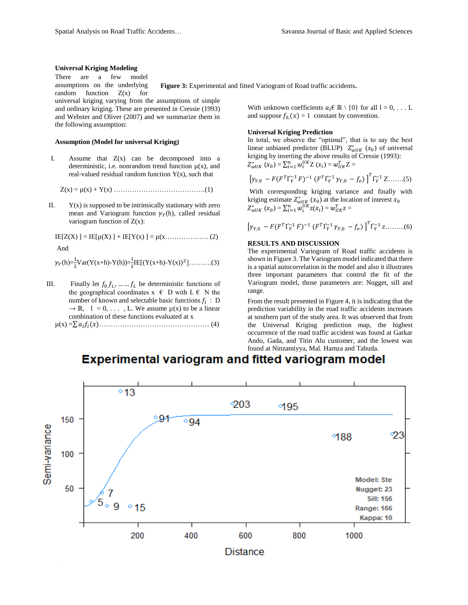#### **Universal Kriging Modeling**

There are a few model assumptions on the underlying random function  $Z(x)$  for universal kriging varying from the assumptions of simple and ordinary kriging. These are presented in Cressie (1993) and Webster and Oliver (2007) and we summarize them in the following assumption:

#### **Assumption (Model for universal Kriging)**

I. Assume that  $Z(x)$  can be decomposed into a deterministic, i.e. nonrandom trend function  $\mu(x)$ , and real-valued residual random function  $Y(x)$ , such that

Z(x) = µ(x) + Y(x) ………………………………….(1)

II.  $Y(x)$  is supposed to be intrinsically stationary with zero mean and Variogram function  $\gamma_Y(h)$ , called residual variogram function of  $Z(x)$ :

 $IE[Z(X)] = IE[\mu(X)] + IE[Y(x)] = \mu(x \dots (2)$ 

And

$$
\gamma_Y(h) = \frac{1}{2}Var(Y(x+h)-Y(h)) = \frac{1}{2}IE[(Y(x+h)-Y(x))^2] \dots \dots \dots (3)
$$

III. Finally let  $f_0, f_1, \dots, f_L$  be deterministic functions of the geographical coordinates  $x \in D$  with  $L \in N$  the number of known and selectable basic functions  $f_l$ : D  $\rightarrow \mathbb{R}$ ,  $1 = 0, \ldots$ , L. We assume  $\mu(x)$  to be a linear combination of these functions evaluated at x

µ(x) =∑ ()………………………………………… (4)

**Figure 3:** Experimental and fitted Variogram of Road traffic accidents**.**

With unknown coefficients  $a_l \in \mathbb{R} \setminus \{0\}$  for all  $l = 0, \ldots L$ and suppose  $f_{0}(x) = 1$  constant by convention.

#### **Universal Kriging Prediction**

In total, we observe the "optimal", that is to say the best linear unbiased predictor (BLUP)  $Z^*_{wUK}$  ( $x_0$ ) of universal kriging by inserting the above results of Cressie (1993):  $Z_{wUK}^{*}(x_0) = \sum_{i=1}^{n} w_i^{UK} Z(x_i) = w_{UK}^{T} Z =$ 

$$
\left[\gamma_{Y,0} - F(F^T \Gamma_Y^{-1} F)^{-1} (F^T \Gamma_Y^{-1} \gamma_{Y,0} - f_0) \right]^T \Gamma_Y^{-1} Z \dots (5)
$$

With corresponding kriging variance and finally with kriging estimate  $Z^*_{wUK}$  ( $x_0$ ) at the location of interest  $x_0$  $Z_{wUK}^*$   $(x_0) = \sum_{i=1}^n w_i^{UK} z(x_i) = w_{UK}^T z =$ 

$$
\left[\gamma_{Y,0} - F(F^T \Gamma_Y^{-1} F)^{-1} (F^T \Gamma_Y^{-1} \gamma_{Y,0} - f_0) \right]^T \Gamma_Y^{-1} z \dots \dots \dots (6)
$$

#### **RESULTS AND DISCUSSION**

The experimental Variogram of Road traffic accidents is shown in Figure 3. The Variogram model indicated that there is a spatial autocorrelation in the model and also it illustrates three important parameters that control the fit of the Variogram model, those parameters are: Nugget, sill and range.

From the result presented in Figure 4, it is indicating that the prediction variability in the road traffic accidents increases at southern part of the study area. It was observed that from the Universal Kriging prediction map, the highest occurrence of the road traffic accident was found at Garkar Ando, Gada, and Titin Alu customer, and the lowest was found at Ninzamiyya, Mal. Hamza and Tabuda.

# **Experimental variogram and fitted variogram model**